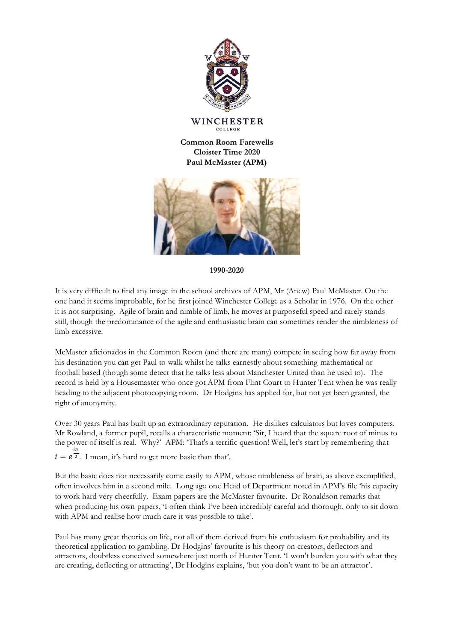

WINCHESTER COLLEGE

**Common Room Farewells Cloister Time 2020 Paul McMaster (APM)**



**1990-2020**

It is very difficult to find any image in the school archives of APM, Mr (Anew) Paul McMaster. On the one hand it seems improbable, for he first joined Winchester College as a Scholar in 1976. On the other it is not surprising. Agile of brain and nimble of limb, he moves at purposeful speed and rarely stands still, though the predominance of the agile and enthusiastic brain can sometimes render the nimbleness of limb excessive.

McMaster aficionados in the Common Room (and there are many) compete in seeing how far away from his destination you can get Paul to walk whilst he talks earnestly about something mathematical or football based (though some detect that he talks less about Manchester United than he used to). The record is held by a Housemaster who once got APM from Flint Court to Hunter Tent when he was really heading to the adjacent photocopying room. Dr Hodgins has applied for, but not yet been granted, the right of anonymity.

Over 30 years Paul has built up an extraordinary reputation. He dislikes calculators but loves computers. Mr Rowland, a former pupil, recalls a characteristic moment: 'Sir, I heard that the square root of minus to the power of itself is real. Why?' APM: 'That's a terrific question! Well, let's start by remembering that  $i = e^{\frac{i\pi}{2}}$ . I mean, it's hard to get more basic than that'.

But the basic does not necessarily come easily to APM, whose nimbleness of brain, as above exemplified, often involves him in a second mile. Long ago one Head of Department noted in APM's file 'his capacity to work hard very cheerfully. Exam papers are the McMaster favourite. Dr Ronaldson remarks that when producing his own papers, 'I often think I've been incredibly careful and thorough, only to sit down with APM and realise how much care it was possible to take'.

Paul has many great theories on life, not all of them derived from his enthusiasm for probability and its theoretical application to gambling. Dr Hodgins' favourite is his theory on creators, deflectors and attractors, doubtless conceived somewhere just north of Hunter Tent. 'I won't burden you with what they are creating, deflecting or attracting', Dr Hodgins explains, 'but you don't want to be an attractor'.